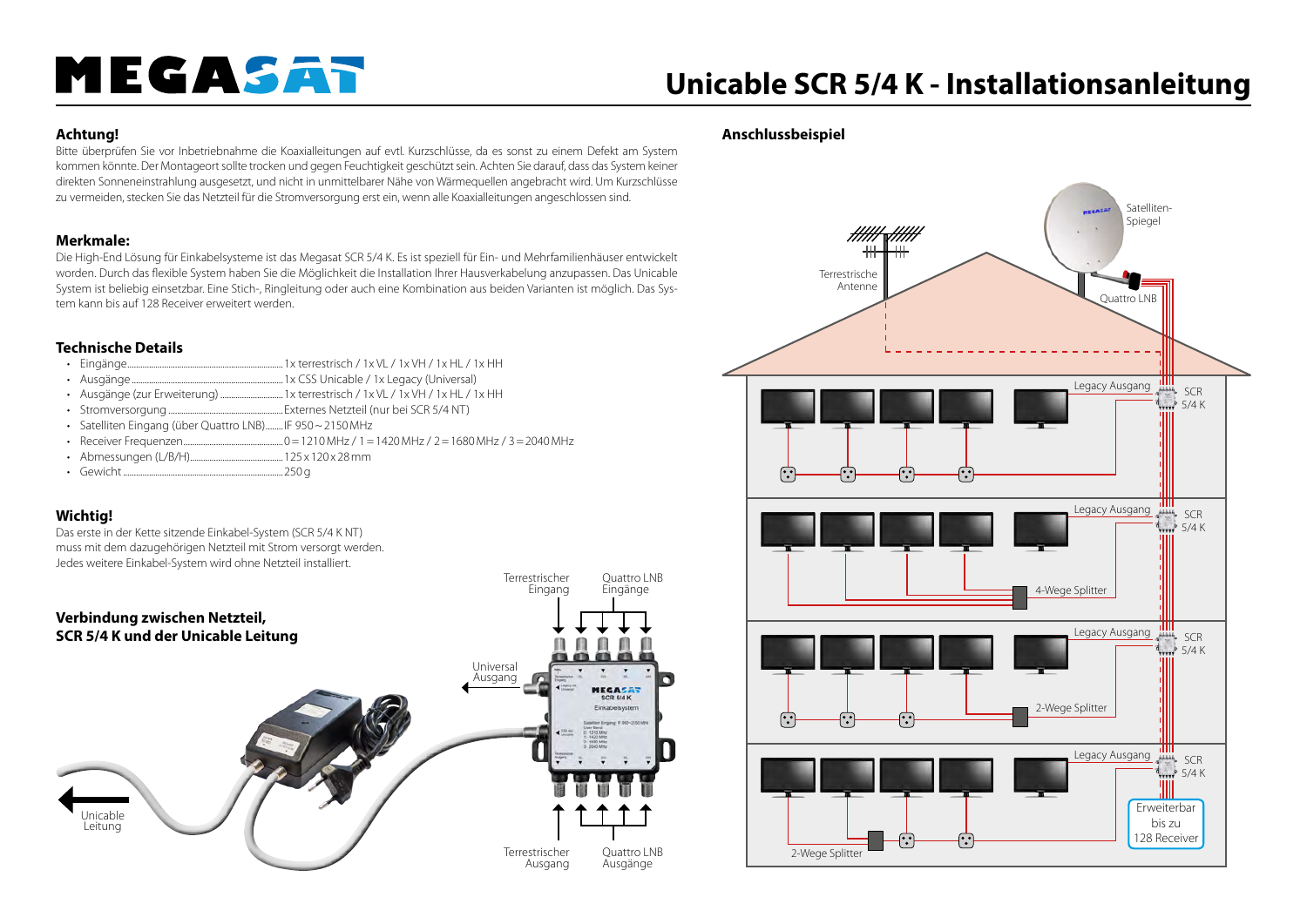# MEGASAT

## **Unicable SCR 5/4 K - Installationsanleitung**

### **Achtung!**

Bitte überprüfen Sie vor Inbetriebnahme die Koaxialleitungen auf evtl. Kurzschlüsse, da es sonst zu einem Defekt am System kommen könnte. Der Montageort sollte trocken und gegen Feuchtigkeit geschützt sein. Achten Sie darauf, dass das System keiner direkten Sonneneinstrahlung ausgesetzt, und nicht in unmittelbarer Nähe von Wärmequellen angebracht wird. Um Kurzschlüsse zu vermeiden, stecken Sie das Netzteil für die Stromversorgung erst ein, wenn alle Koaxialleitungen angeschlossen sind.

### **Merkmale:**

Die High-End Lösung für Einkabelsysteme ist das Megasat SCR 5/4 K. Es ist speziell für Ein- und Mehrfamilienhäuser entwickelt worden. Durch das flexible System haben Sie die Möglichkeit die Installation Ihrer Hausverkabelung anzupassen. Das Unicable System ist beliebig einsetzbar. Eine Stich-, Ringleitung oder auch eine Kombination aus beiden Varianten ist möglich. Das System kann bis auf 128 Receiver erweitert werden.

### **Technische Details**

- $m_{\text{max}}$  1x terrestrisch / 1x VL / 1x VH / 1x HL / 1x HH
- Ausgänge......................................................................1x CSS Unicable / 1x Legacy (Universal)
- Ausgänge (zur Erweiterung) .............................1x terrestrisch / 1x VL / 1x VH / 1x HL / 1x HH
- Stromversorgung .....................................................Externes Netzteil (nur bei SCR 5/4 NT)
- Satelliten Eingang (über Quattro LNB)........IF 950~2150MHz
- Receiver Frequenzen..............................................0=1210MHz / 1=1420MHz / 2=1680MHz / 3=2040MHz
- Abmessungen (L/B/H)...........................................125 x 120 x 28mm
- Gewicht..........................................................................250g

### **Wichtig!**

Das erste in der Kette sitzende Einkabel-System (SCR 5/4 K NT) muss mit dem dazugehörigen Netzteil mit Strom versorgt werden. Jedes weitere Einkabel-System wird ohne Netzteil installiert.



### **Anschlussbeispiel**